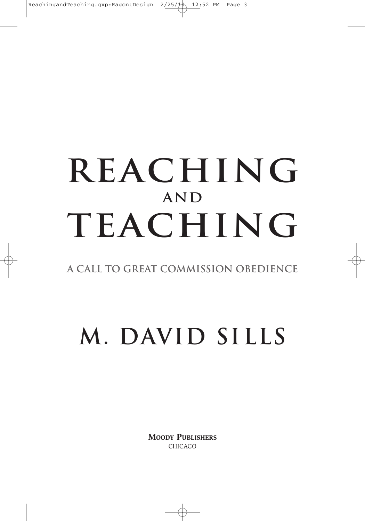# **Reaching and Teaching**

## **A CALL TO GREAT COMMISSION OBEDIENCE**

# **M. DAVID SI LLS**

**MOODY PUBLISHERS** CHICAGO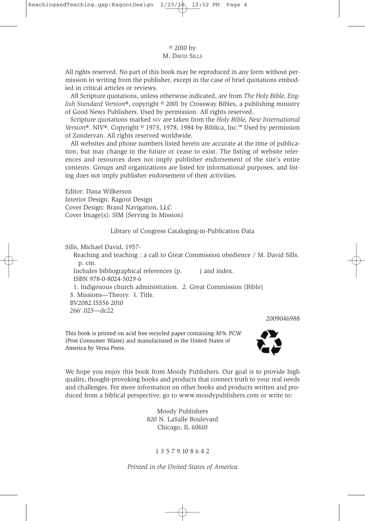### © 2010 by M. DAVID SILLS

All rights reserved. No part of this book may be reproduced in any form without permission in writing from the publisher, except in the case of brief quotations embodied in critical articles or reviews.

All Scripture quotations, unless otherwise indicated, are from *The Holy Bible, English Standard Version*®, copyright © 2001 by Crossway Bibles, a publishing ministry of Good News Publishers. Used by permission. All rights reserved.

Scripture quotations marked NIV are taken from the *Holy Bible, New International Version®*. NIV®. Copyright © 1973, 1978, 1984 by Biblica, Inc.™ Used by permission of Zondervan. All rights reserved worldwide.

All websites and phone numbers listed herein are accurate at the time of publication, but may change in the future or cease to exist. The listing of website references and resources does not imply publisher endorsement of the site's entire contents. Groups and organizations are listed for informational purposes, and listing does not imply publisher endorsement of their activities.

Editor: Dana Wilkerson Interior Design: Ragont Design Cover Design: Brand Navigation, LLC Cover Image(s): SIM (Serving In Mission)

Library of Congress Cataloging-in-Publication Data

Sills, Michael David, 1957-

Reaching and teaching : a call to Great Commission obedience / M. David Sills. p. cm.

Includes bibliographical references (p. ) and index. ISBN 978-0-8024-5029-6

1. Indigenous church administration. 2. Great Commission (Bible) 3. Missions—Theory. I. Title. BV2082.I5S56 2010 266'.023—dc22

2009046988

This book is printed on acid free recycled paper containing 30% PCW (Post Consumer Waste) and manufactured in the United States of America by Versa Press.



We hope you enjoy this book from Moody Publishers. Our goal is to provide high quality, thought-provoking books and products that connect truth to your real needs and challenges. For more information on other books and products written and produced from a biblical perspective, go to www.moodypublishers.com or write to:

> Moody Publishers 820 N. LaSalle Boulevard Chicago, IL 60610

### 1 3 5 7 9 10 8 6 4 2

*Printed in the United States of America*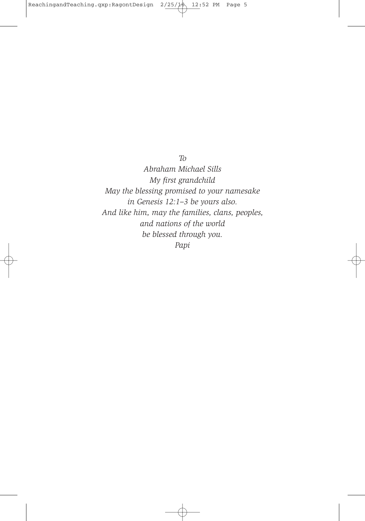*To Abraham Michael Sills My first grandchild May the blessing promised to your namesake in Genesis 12:1–3 be yours also. And like him, may the families, clans, peoples, and nations of the world be blessed through you. Papi*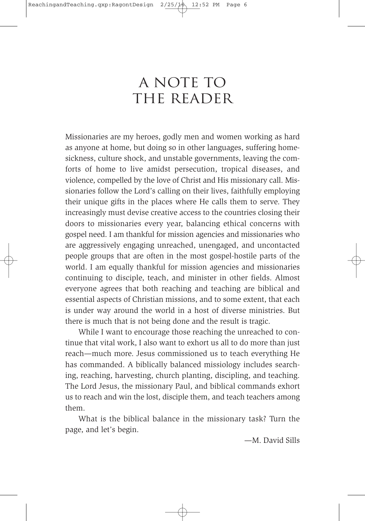## A NOTE TO the Reader

Missionaries are my heroes, godly men and women working as hard as anyone at home, but doing so in other languages, suffering homesickness, culture shock, and unstable governments, leaving the comforts of home to live amidst persecution, tropical diseases, and violence, compelled by the love of Christ and His missionary call. Missionaries follow the Lord's calling on their lives, faithfully employing their unique gifts in the places where He calls them to serve. They increasingly must devise creative access to the countries closing their doors to missionaries every year, balancing ethical concerns with gospel need. I am thankful for mission agencies and missionaries who are aggressively engaging unreached, unengaged, and uncontacted people groups that are often in the most gospel-hostile parts of the world. I am equally thankful for mission agencies and missionaries continuing to disciple, teach, and minister in other fields. Almost everyone agrees that both reaching and teaching are biblical and essential aspects of Christian missions, and to some extent, that each is under way around the world in a host of diverse ministries. But there is much that is not being done and the result is tragic.

While I want to encourage those reaching the unreached to continue that vital work, I also want to exhort us all to do more than just reach—much more. Jesus commissioned us to teach everything He has commanded. A biblically balanced missiology includes searching, reaching, harvesting, church planting, discipling, and teaching. The Lord Jesus, the missionary Paul, and biblical commands exhort us to reach and win the lost, disciple them, and teach teachers among them.

What is the biblical balance in the missionary task? Turn the page, and let's begin.

—M. David Sills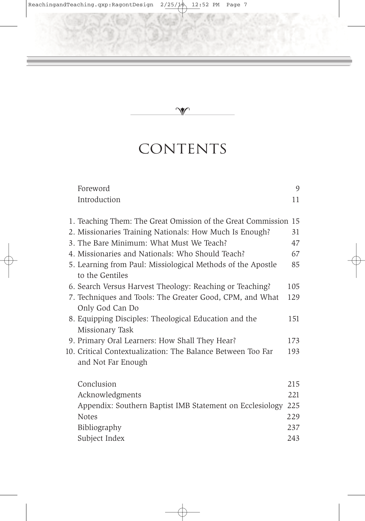ReachingandTeaching.qxp:RagontDesign  $2/25/10$  12:52 PM Page 7



## **CONTENTS**

| Foreword                                                                          | 9   |
|-----------------------------------------------------------------------------------|-----|
| Introduction                                                                      | 11  |
| 1. Teaching Them: The Great Omission of the Great Commission 15                   |     |
| 2. Missionaries Training Nationals: How Much Is Enough?                           | 31  |
| 3. The Bare Minimum: What Must We Teach?                                          | 47  |
| 4. Missionaries and Nationals: Who Should Teach?                                  | 67  |
| 5. Learning from Paul: Missiological Methods of the Apostle<br>to the Gentiles    | 85  |
| 6. Search Versus Harvest Theology: Reaching or Teaching?                          | 105 |
| 7. Techniques and Tools: The Greater Good, CPM, and What<br>Only God Can Do       | 129 |
| 8. Equipping Disciples: Theological Education and the<br>Missionary Task          | 151 |
| 9. Primary Oral Learners: How Shall They Hear?                                    | 173 |
| 10. Critical Contextualization: The Balance Between Too Far<br>and Not Far Enough | 193 |
| Conclusion                                                                        | 215 |
| Acknowledgments                                                                   | 221 |
| Appendix: Southern Baptist IMB Statement on Ecclesiology                          | 225 |
| <b>Notes</b>                                                                      | 229 |
| Bibliography                                                                      | 237 |
| Subject Index                                                                     | 243 |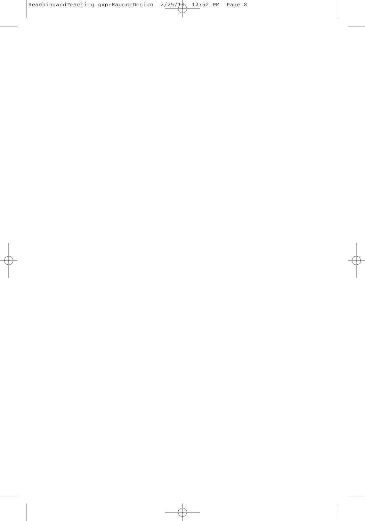$\overline{\mathrm{D}}$ 

 $\overline{\bigoplus}$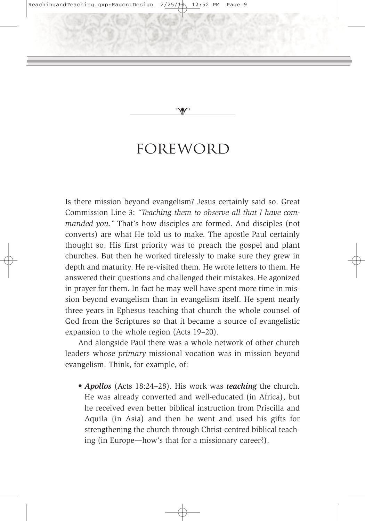ReachingandT

## Foreword

 $\mathbb{Y}$ 

Is there mission beyond evangelism? Jesus certainly said so. Great Commission Line 3: *"Teaching them to observe all that I have commanded you."* That's how disciples are formed. And disciples (not converts) are what He told us to make. The apostle Paul certainly thought so. His first priority was to preach the gospel and plant churches. But then he worked tirelessly to make sure they grew in depth and maturity. He re-visited them. He wrote letters to them. He answered their questions and challenged their mistakes. He agonized in prayer for them. In fact he may well have spent more time in mission beyond evangelism than in evangelism itself. He spent nearly three years in Ephesus teaching that church the whole counsel of God from the Scriptures so that it became a source of evangelistic expansion to the whole region (Acts 19–20).

And alongside Paul there was a whole network of other church leaders whose *primary* missional vocation was in mission beyond evangelism. Think, for example, of:

• *Apollos* (Acts 18:24–28). His work was *teaching* the church. He was already converted and well-educated (in Africa), but he received even better biblical instruction from Priscilla and Aquila (in Asia) and then he went and used his gifts for strengthening the church through Christ-centred biblical teaching (in Europe—how's that for a missionary career?).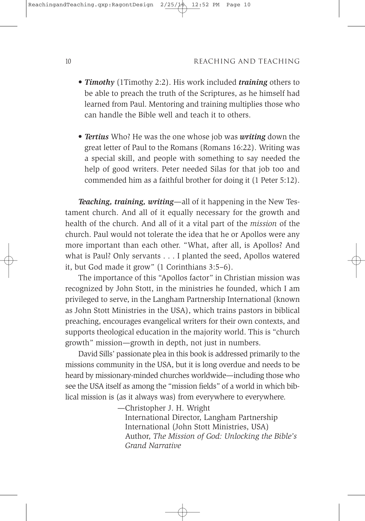- *Timothy* (1Timothy 2:2). His work included *training* others to be able to preach the truth of the Scriptures, as he himself had learned from Paul. Mentoring and training multiplies those who can handle the Bible well and teach it to others.
- *Tertius* Who? He was the one whose job was *writing* down the great letter of Paul to the Romans (Romans 16:22). Writing was a special skill, and people with something to say needed the help of good writers. Peter needed Silas for that job too and commended him as a faithful brother for doing it (1 Peter 5:12).

*Teaching, training, writing*—all of it happening in the New Testament church. And all of it equally necessary for the growth and health of the church. And all of it a vital part of the *mission* of the church. Paul would not tolerate the idea that he or Apollos were any more important than each other. "What, after all, is Apollos? And what is Paul? Only servants . . . I planted the seed, Apollos watered it, but God made it grow" (1 Corinthians 3:5–6).

The importance of this "Apollos factor" in Christian mission was recognized by John Stott, in the ministries he founded, which I am privileged to serve, in the Langham Partnership International (known as John Stott Ministries in the USA), which trains pastors in biblical preaching, encourages evangelical writers for their own contexts, and supports theological education in the majority world. This is "church growth" mission—growth in depth, not just in numbers.

David Sills' passionate plea in this book is addressed primarily to the missions community in the USA, but it is long overdue and needs to be heard by missionary-minded churches worldwide—including those who see the USA itself as among the "mission fields" of a world in which biblical mission is (as it always was) from everywhere to everywhere.

> —Christopher J. H. Wright International Director, Langham Partnership International (John Stott Ministries, USA) Author, *The Mission of God: Unlocking the Bible's Grand Narrative*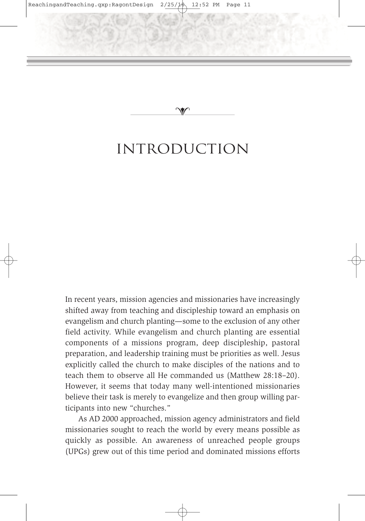ReachingandTeaching.qxp:RagontDesign 2/25/10 12:52 PM Page 11

## **INTRODUCTION**

 $\mathbb{Y}$ 

In recent years, mission agencies and missionaries have increasingly shifted away from teaching and discipleship toward an emphasis on evangelism and church planting—some to the exclusion of any other field activity. While evangelism and church planting are essential components of a missions program, deep discipleship, pastoral preparation, and leadership training must be priorities as well. Jesus explicitly called the church to make disciples of the nations and to teach them to observe all He commanded us (Matthew 28:18–20). However, it seems that today many well-intentioned missionaries believe their task is merely to evangelize and then group willing participants into new "churches."

As AD 2000 approached, mission agency administrators and field missionaries sought to reach the world by every means possible as quickly as possible. An awareness of unreached people groups (UPGs) grew out of this time period and dominated missions efforts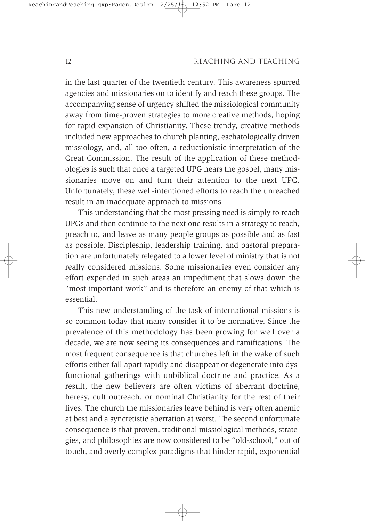in the last quarter of the twentieth century. This awareness spurred agencies and missionaries on to identify and reach these groups. The accompanying sense of urgency shifted the missiological community away from time-proven strategies to more creative methods, hoping for rapid expansion of Christianity. These trendy, creative methods included new approaches to church planting, eschatologically driven missiology, and, all too often, a reductionistic interpretation of the Great Commission. The result of the application of these methodologies is such that once a targeted UPG hears the gospel, many missionaries move on and turn their attention to the next UPG. Unfortunately, these well-intentioned efforts to reach the unreached result in an inadequate approach to missions.

This understanding that the most pressing need is simply to reach UPGs and then continue to the next one results in a strategy to reach, preach to, and leave as many people groups as possible and as fast as possible. Discipleship, leadership training, and pastoral preparation are unfortunately relegated to a lower level of ministry that is not really considered missions. Some missionaries even consider any effort expended in such areas an impediment that slows down the "most important work" and is therefore an enemy of that which is essential.

This new understanding of the task of international missions is so common today that many consider it to be normative. Since the prevalence of this methodology has been growing for well over a decade, we are now seeing its consequences and ramifications. The most frequent consequence is that churches left in the wake of such efforts either fall apart rapidly and disappear or degenerate into dysfunctional gatherings with unbiblical doctrine and practice. As a result, the new believers are often victims of aberrant doctrine, heresy, cult outreach, or nominal Christianity for the rest of their lives. The church the missionaries leave behind is very often anemic at best and a syncretistic aberration at worst. The second unfortunate consequence is that proven, traditional missiological methods, strategies, and philosophies are now considered to be "old-school," out of touch, and overly complex paradigms that hinder rapid, exponential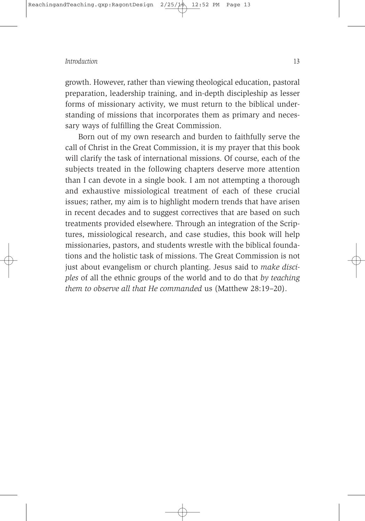## *Introduction* 13

growth. However, rather than viewing theological education, pastoral preparation, leadership training, and in-depth discipleship as lesser forms of missionary activity, we must return to the biblical understanding of missions that incorporates them as primary and necessary ways of fulfilling the Great Commission.

Born out of my own research and burden to faithfully serve the call of Christ in the Great Commission, it is my prayer that this book will clarify the task of international missions. Of course, each of the subjects treated in the following chapters deserve more attention than I can devote in a single book. I am not attempting a thorough and exhaustive missiological treatment of each of these crucial issues; rather, my aim is to highlight modern trends that have arisen in recent decades and to suggest correctives that are based on such treatments provided elsewhere. Through an integration of the Scriptures, missiological research, and case studies, this book will help missionaries, pastors, and students wrestle with the biblical foundations and the holistic task of missions. The Great Commission is not just about evangelism or church planting. Jesus said to *make disciples* of all the ethnic groups of the world and to do that *by teaching them to observe all that He commanded* us (Matthew 28:19–20).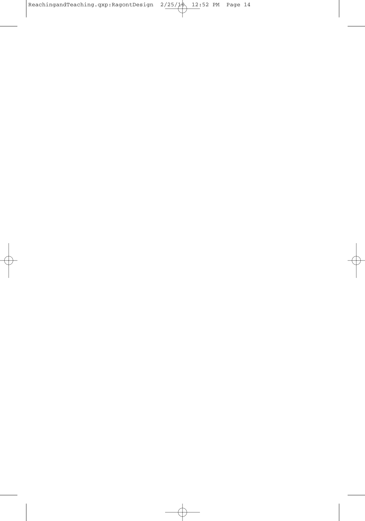$\overline{\mathbb{Q}}$ 

 $\overline{\varphi}$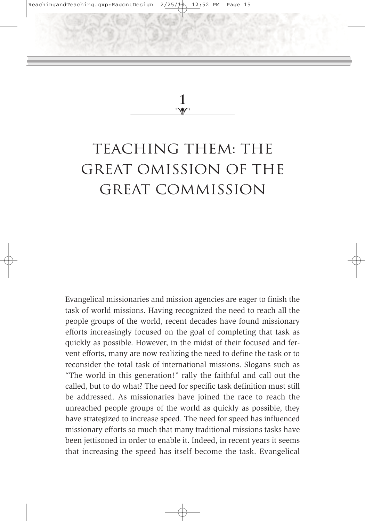Reachingand



**1**  $\mathbb{Y}$ 

Evangelical missionaries and mission agencies are eager to finish the task of world missions. Having recognized the need to reach all the people groups of the world, recent decades have found missionary efforts increasingly focused on the goal of completing that task as quickly as possible. However, in the midst of their focused and fervent efforts, many are now realizing the need to define the task or to reconsider the total task of international missions. Slogans such as "The world in this generation!" rally the faithful and call out the called, but to do what? The need for specific task definition must still be addressed. As missionaries have joined the race to reach the unreached people groups of the world as quickly as possible, they have strategized to increase speed. The need for speed has influenced missionary efforts so much that many traditional missions tasks have been jettisoned in order to enable it. Indeed, in recent years it seems that increasing the speed has itself become the task. Evangelical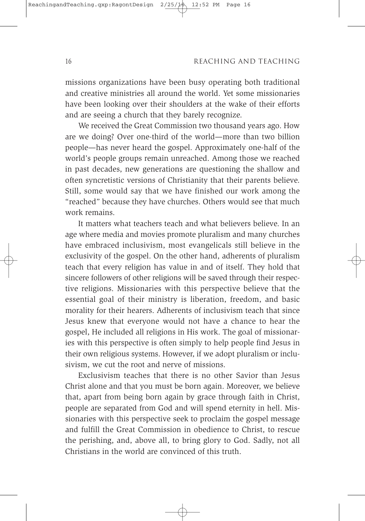missions organizations have been busy operating both traditional and creative ministries all around the world. Yet some missionaries have been looking over their shoulders at the wake of their efforts and are seeing a church that they barely recognize.

We received the Great Commission two thousand years ago. How are we doing? Over one-third of the world—more than two billion people—has never heard the gospel. Approximately one-half of the world's people groups remain unreached. Among those we reached in past decades, new generations are questioning the shallow and often syncretistic versions of Christianity that their parents believe. Still, some would say that we have finished our work among the "reached" because they have churches. Others would see that much work remains.

It matters what teachers teach and what believers believe. In an age where media and movies promote pluralism and many churches have embraced inclusivism, most evangelicals still believe in the exclusivity of the gospel. On the other hand, adherents of pluralism teach that every religion has value in and of itself. They hold that sincere followers of other religions will be saved through their respective religions. Missionaries with this perspective believe that the essential goal of their ministry is liberation, freedom, and basic morality for their hearers. Adherents of inclusivism teach that since Jesus knew that everyone would not have a chance to hear the gospel, He included all religions in His work. The goal of missionaries with this perspective is often simply to help people find Jesus in their own religious systems. However, if we adopt pluralism or inclusivism, we cut the root and nerve of missions.

Exclusivism teaches that there is no other Savior than Jesus Christ alone and that you must be born again. Moreover, we believe that, apart from being born again by grace through faith in Christ, people are separated from God and will spend eternity in hell. Missionaries with this perspective seek to proclaim the gospel message and fulfill the Great Commission in obedience to Christ, to rescue the perishing, and, above all, to bring glory to God. Sadly, not all Christians in the world are convinced of this truth.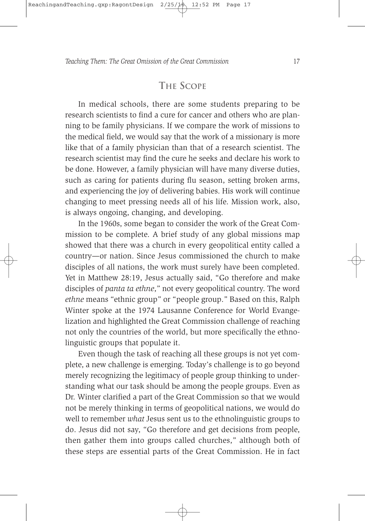ReachingandTeaching.qxp:RagontDesign  $2/25/\cancel{10}$  12:52 PM Page 17

*Teaching Them: The Great Omission of the Great Commission* 17

## **THE SCOPE**

In medical schools, there are some students preparing to be research scientists to find a cure for cancer and others who are planning to be family physicians. If we compare the work of missions to the medical field, we would say that the work of a missionary is more like that of a family physician than that of a research scientist. The research scientist may find the cure he seeks and declare his work to be done. However, a family physician will have many diverse duties, such as caring for patients during flu season, setting broken arms, and experiencing the joy of delivering babies. His work will continue changing to meet pressing needs all of his life. Mission work, also, is always ongoing, changing, and developing.

In the 1960s, some began to consider the work of the Great Commission to be complete. A brief study of any global missions map showed that there was a church in every geopolitical entity called a country—or nation. Since Jesus commissioned the church to make disciples of all nations, the work must surely have been completed. Yet in Matthew 28:19, Jesus actually said, "Go therefore and make disciples of *panta ta ethne*," not every geopolitical country. The word *ethne* means "ethnic group" or "people group." Based on this, Ralph Winter spoke at the 1974 Lausanne Conference for World Evangelization and highlighted the Great Commission challenge of reaching not only the countries of the world, but more specifically the ethnolinguistic groups that populate it.

Even though the task of reaching all these groups is not yet complete, a new challenge is emerging. Today's challenge is to go beyond merely recognizing the legitimacy of people group thinking to understanding what our task should be among the people groups. Even as Dr. Winter clarified a part of the Great Commission so that we would not be merely thinking in terms of geopolitical nations, we would do well to remember *what* Jesus sent us to the ethnolinguistic groups to do. Jesus did not say, "Go therefore and get decisions from people, then gather them into groups called churches," although both of these steps are essential parts of the Great Commission. He in fact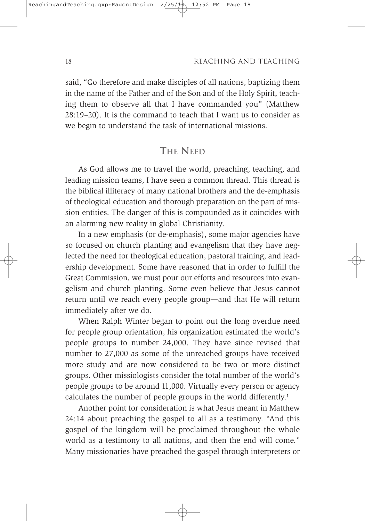said, "Go therefore and make disciples of all nations, baptizing them in the name of the Father and of the Son and of the Holy Spirit, teaching them to observe all that I have commanded you" (Matthew 28:19–20). It is the command to teach that I want us to consider as we begin to understand the task of international missions.

## **THE NEED**

As God allows me to travel the world, preaching, teaching, and leading mission teams, I have seen a common thread. This thread is the biblical illiteracy of many national brothers and the de-emphasis of theological education and thorough preparation on the part of mission entities. The danger of this is compounded as it coincides with an alarming new reality in global Christianity.

In a new emphasis (or de-emphasis), some major agencies have so focused on church planting and evangelism that they have neglected the need for theological education, pastoral training, and leadership development. Some have reasoned that in order to fulfill the Great Commission, we must pour our efforts and resources into evangelism and church planting. Some even believe that Jesus cannot return until we reach every people group—and that He will return immediately after we do.

When Ralph Winter began to point out the long overdue need for people group orientation, his organization estimated the world's people groups to number 24,000. They have since revised that number to 27,000 as some of the unreached groups have received more study and are now considered to be two or more distinct groups. Other missiologists consider the total number of the world's people groups to be around 11,000. Virtually every person or agency calculates the number of people groups in the world differently.1

Another point for consideration is what Jesus meant in Matthew 24:14 about preaching the gospel to all as a testimony. "And this gospel of the kingdom will be proclaimed throughout the whole world as a testimony to all nations, and then the end will come." Many missionaries have preached the gospel through interpreters or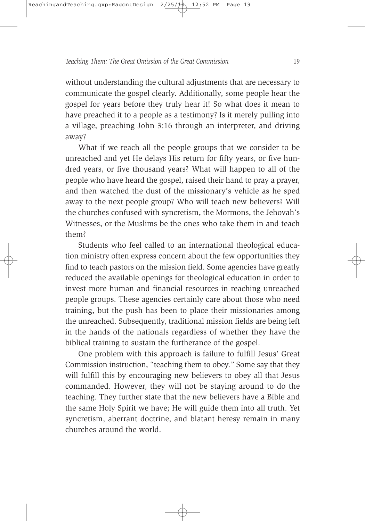without understanding the cultural adjustments that are necessary to communicate the gospel clearly. Additionally, some people hear the gospel for years before they truly hear it! So what does it mean to have preached it to a people as a testimony? Is it merely pulling into a village, preaching John 3:16 through an interpreter, and driving away?

What if we reach all the people groups that we consider to be unreached and yet He delays His return for fifty years, or five hundred years, or five thousand years? What will happen to all of the people who have heard the gospel, raised their hand to pray a prayer, and then watched the dust of the missionary's vehicle as he sped away to the next people group? Who will teach new believers? Will the churches confused with syncretism, the Mormons, the Jehovah's Witnesses, or the Muslims be the ones who take them in and teach them?

Students who feel called to an international theological education ministry often express concern about the few opportunities they find to teach pastors on the mission field. Some agencies have greatly reduced the available openings for theological education in order to invest more human and financial resources in reaching unreached people groups. These agencies certainly care about those who need training, but the push has been to place their missionaries among the unreached. Subsequently, traditional mission fields are being left in the hands of the nationals regardless of whether they have the biblical training to sustain the furtherance of the gospel.

One problem with this approach is failure to fulfill Jesus' Great Commission instruction, "teaching them to obey." Some say that they will fulfill this by encouraging new believers to obey all that Jesus commanded. However, they will not be staying around to do the teaching. They further state that the new believers have a Bible and the same Holy Spirit we have; He will guide them into all truth. Yet syncretism, aberrant doctrine, and blatant heresy remain in many churches around the world.

*Teaching Them: The Great Omission of the Great Commission* 19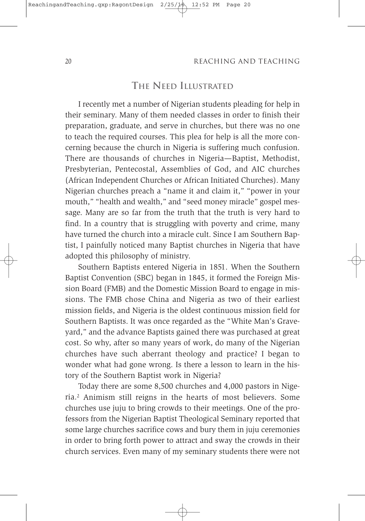## **THE NEED ILLUSTRATED**

I recently met a number of Nigerian students pleading for help in their seminary. Many of them needed classes in order to finish their preparation, graduate, and serve in churches, but there was no one to teach the required courses. This plea for help is all the more concerning because the church in Nigeria is suffering much confusion. There are thousands of churches in Nigeria—Baptist, Methodist, Presbyterian, Pentecostal, Assemblies of God, and AIC churches (African Independent Churches or African Initiated Churches). Many Nigerian churches preach a "name it and claim it," "power in your mouth," "health and wealth," and "seed money miracle" gospel message. Many are so far from the truth that the truth is very hard to find. In a country that is struggling with poverty and crime, many have turned the church into a miracle cult. Since I am Southern Baptist, I painfully noticed many Baptist churches in Nigeria that have adopted this philosophy of ministry.

Southern Baptists entered Nigeria in 1851. When the Southern Baptist Convention (SBC) began in 1845, it formed the Foreign Mission Board (FMB) and the Domestic Mission Board to engage in missions. The FMB chose China and Nigeria as two of their earliest mission fields, and Nigeria is the oldest continuous mission field for Southern Baptists. It was once regarded as the "White Man's Graveyard," and the advance Baptists gained there was purchased at great cost. So why, after so many years of work, do many of the Nigerian churches have such aberrant theology and practice? I began to wonder what had gone wrong. Is there a lesson to learn in the history of the Southern Baptist work in Nigeria?

Today there are some 8,500 churches and 4,000 pastors in Nigeria.2 Animism still reigns in the hearts of most believers. Some churches use juju to bring crowds to their meetings. One of the professors from the Nigerian Baptist Theological Seminary reported that some large churches sacrifice cows and bury them in juju ceremonies in order to bring forth power to attract and sway the crowds in their church services. Even many of my seminary students there were not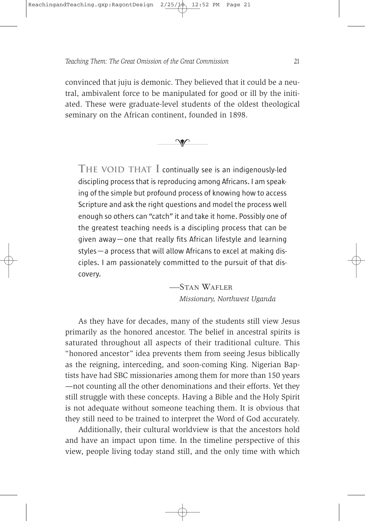## *Teaching Them: The Great Omission of the Great Commission* 21

convinced that juju is demonic. They believed that it could be a neutral, ambivalent force to be manipulated for good or ill by the initiated. These were graduate-level students of the oldest theological seminary on the African continent, founded in 1898.

**extra** 

**THE VOID THAT I** continually see is an indigenously-led discipling process that is reproducing among Africans. I am speaking of the simple but profound process of knowing how to access Scripture and ask the right questions and model the process well enough so others can "catch" it and take it home. Possibly one of the greatest teaching needs is a discipling process that can be given away—one that really fits African lifestyle and learning styles—a process that will allow Africans to excel at making disciples. I am passionately committed to the pursuit of that discovery.

> —STAN WAFLER *Missionary, Northwest Uganda*

As they have for decades, many of the students still view Jesus primarily as the honored ancestor. The belief in ancestral spirits is saturated throughout all aspects of their traditional culture. This "honored ancestor" idea prevents them from seeing Jesus biblically as the reigning, interceding, and soon-coming King. Nigerian Baptists have had SBC missionaries among them for more than 150 years —not counting all the other denominations and their efforts. Yet they still struggle with these concepts. Having a Bible and the Holy Spirit is not adequate without someone teaching them. It is obvious that they still need to be trained to interpret the Word of God accurately.

Additionally, their cultural worldview is that the ancestors hold and have an impact upon time. In the timeline perspective of this view, people living today stand still, and the only time with which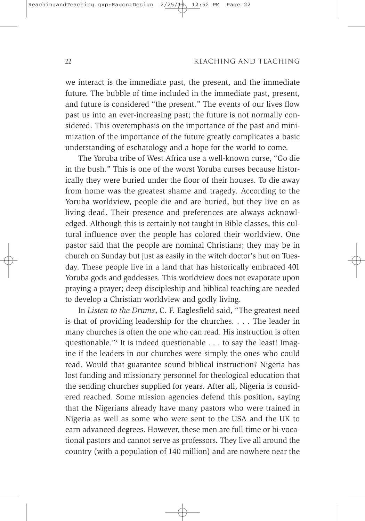we interact is the immediate past, the present, and the immediate future. The bubble of time included in the immediate past, present, and future is considered "the present." The events of our lives flow past us into an ever-increasing past; the future is not normally considered. This overemphasis on the importance of the past and minimization of the importance of the future greatly complicates a basic understanding of eschatology and a hope for the world to come.

The Yoruba tribe of West Africa use a well-known curse, "Go die in the bush." This is one of the worst Yoruba curses because historically they were buried under the floor of their houses. To die away from home was the greatest shame and tragedy. According to the Yoruba worldview, people die and are buried, but they live on as living dead. Their presence and preferences are always acknowledged. Although this is certainly not taught in Bible classes, this cultural influence over the people has colored their worldview. One pastor said that the people are nominal Christians; they may be in church on Sunday but just as easily in the witch doctor's hut on Tuesday. These people live in a land that has historically embraced 401 Yoruba gods and goddesses. This worldview does not evaporate upon praying a prayer; deep discipleship and biblical teaching are needed to develop a Christian worldview and godly living.

In *Listen to the Drums*, C. F. Eaglesfield said, "The greatest need is that of providing leadership for the churches. . . . The leader in many churches is often the one who can read. His instruction is often questionable."3 It is indeed questionable . . . to say the least! Imagine if the leaders in our churches were simply the ones who could read. Would that guarantee sound biblical instruction? Nigeria has lost funding and missionary personnel for theological education that the sending churches supplied for years. After all, Nigeria is considered reached. Some mission agencies defend this position, saying that the Nigerians already have many pastors who were trained in Nigeria as well as some who were sent to the USA and the UK to earn advanced degrees. However, these men are full-time or bi-vocational pastors and cannot serve as professors. They live all around the country (with a population of 140 million) and are nowhere near the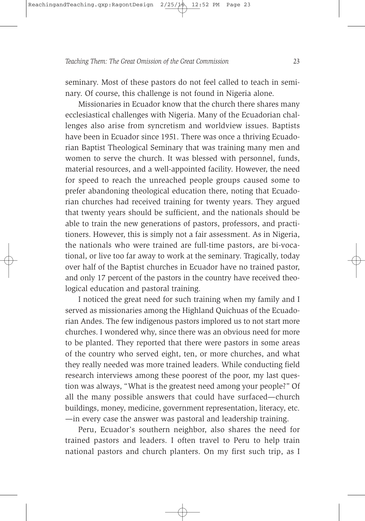*Teaching Them: The Great Omission of the Great Commission* 23

seminary. Most of these pastors do not feel called to teach in seminary. Of course, this challenge is not found in Nigeria alone.

Missionaries in Ecuador know that the church there shares many ecclesiastical challenges with Nigeria. Many of the Ecuadorian challenges also arise from syncretism and worldview issues. Baptists have been in Ecuador since 1951. There was once a thriving Ecuadorian Baptist Theological Seminary that was training many men and women to serve the church. It was blessed with personnel, funds, material resources, and a well-appointed facility. However, the need for speed to reach the unreached people groups caused some to prefer abandoning theological education there, noting that Ecuadorian churches had received training for twenty years. They argued that twenty years should be sufficient, and the nationals should be able to train the new generations of pastors, professors, and practitioners. However, this is simply not a fair assessment. As in Nigeria, the nationals who were trained are full-time pastors, are bi-vocational, or live too far away to work at the seminary. Tragically, today over half of the Baptist churches in Ecuador have no trained pastor, and only 17 percent of the pastors in the country have received theological education and pastoral training.

I noticed the great need for such training when my family and I served as missionaries among the Highland Quichuas of the Ecuadorian Andes. The few indigenous pastors implored us to not start more churches. I wondered why, since there was an obvious need for more to be planted. They reported that there were pastors in some areas of the country who served eight, ten, or more churches, and what they really needed was more trained leaders. While conducting field research interviews among these poorest of the poor, my last question was always, "What is the greatest need among your people?" Of all the many possible answers that could have surfaced—church buildings, money, medicine, government representation, literacy, etc. —in every case the answer was pastoral and leadership training.

Peru, Ecuador's southern neighbor, also shares the need for trained pastors and leaders. I often travel to Peru to help train national pastors and church planters. On my first such trip, as I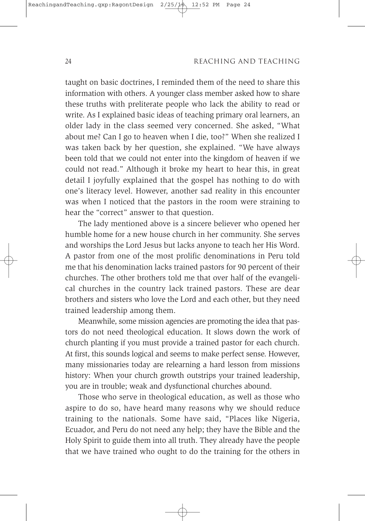taught on basic doctrines, I reminded them of the need to share this information with others. A younger class member asked how to share these truths with preliterate people who lack the ability to read or write. As I explained basic ideas of teaching primary oral learners, an older lady in the class seemed very concerned. She asked, "What about me? Can I go to heaven when I die, too?" When she realized I was taken back by her question, she explained. "We have always been told that we could not enter into the kingdom of heaven if we could not read." Although it broke my heart to hear this, in great detail I joyfully explained that the gospel has nothing to do with one's literacy level. However, another sad reality in this encounter was when I noticed that the pastors in the room were straining to hear the "correct" answer to that question.

The lady mentioned above is a sincere believer who opened her humble home for a new house church in her community. She serves and worships the Lord Jesus but lacks anyone to teach her His Word. A pastor from one of the most prolific denominations in Peru told me that his denomination lacks trained pastors for 90 percent of their churches. The other brothers told me that over half of the evangelical churches in the country lack trained pastors. These are dear brothers and sisters who love the Lord and each other, but they need trained leadership among them.

Meanwhile, some mission agencies are promoting the idea that pastors do not need theological education. It slows down the work of church planting if you must provide a trained pastor for each church. At first, this sounds logical and seems to make perfect sense. However, many missionaries today are relearning a hard lesson from missions history: When your church growth outstrips your trained leadership, you are in trouble; weak and dysfunctional churches abound.

Those who serve in theological education, as well as those who aspire to do so, have heard many reasons why we should reduce training to the nationals. Some have said, "Places like Nigeria, Ecuador, and Peru do not need any help; they have the Bible and the Holy Spirit to guide them into all truth. They already have the people that we have trained who ought to do the training for the others in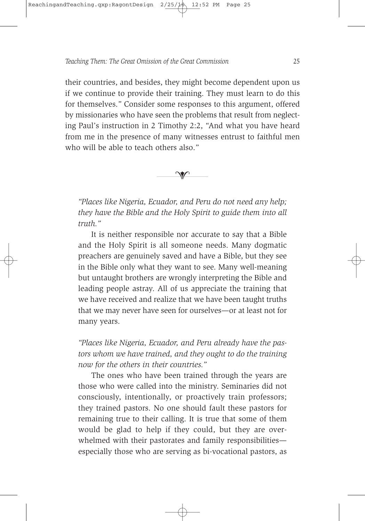## *Teaching Them: The Great Omission of the Great Commission* 25

their countries, and besides, they might become dependent upon us if we continue to provide their training. They must learn to do this for themselves." Consider some responses to this argument, offered by missionaries who have seen the problems that result from neglecting Paul's instruction in 2 Timothy 2:2, "And what you have heard from me in the presence of many witnesses entrust to faithful men who will be able to teach others also."



*"Places like Nigeria, Ecuador, and Peru do not need any help; they have the Bible and the Holy Spirit to guide them into all truth."*

It is neither responsible nor accurate to say that a Bible and the Holy Spirit is all someone needs. Many dogmatic preachers are genuinely saved and have a Bible, but they see in the Bible only what they want to see. Many well-meaning but untaught brothers are wrongly interpreting the Bible and leading people astray. All of us appreciate the training that we have received and realize that we have been taught truths that we may never have seen for ourselves—or at least not for many years.

*"Places like Nigeria, Ecuador, and Peru already have the pastors whom we have trained, and they ought to do the training now for the others in their countries."*

The ones who have been trained through the years are those who were called into the ministry. Seminaries did not consciously, intentionally, or proactively train professors; they trained pastors. No one should fault these pastors for remaining true to their calling. It is true that some of them would be glad to help if they could, but they are overwhelmed with their pastorates and family responsibilities especially those who are serving as bi-vocational pastors, as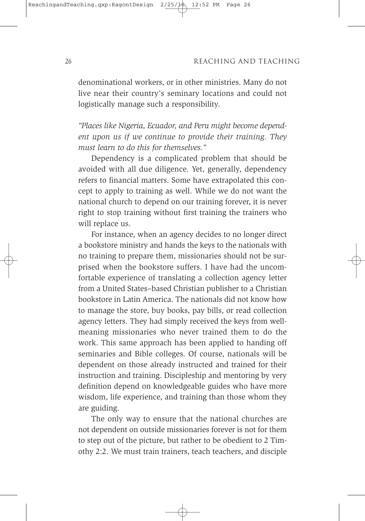denominational workers, or in other ministries. Many do not live near their country's seminary locations and could not logistically manage such a responsibility.

*"Places like Nigeria, Ecuador, and Peru might become dependent upon us if we continue to provide their training. They must learn to do this for themselves."*

Dependency is a complicated problem that should be avoided with all due diligence. Yet, generally, dependency refers to financial matters. Some have extrapolated this concept to apply to training as well. While we do not want the national church to depend on our training forever, it is never right to stop training without first training the trainers who will replace us.

For instance, when an agency decides to no longer direct a bookstore ministry and hands the keys to the nationals with no training to prepare them, missionaries should not be surprised when the bookstore suffers. I have had the uncomfortable experience of translating a collection agency letter from a United States–based Christian publisher to a Christian bookstore in Latin America. The nationals did not know how to manage the store, buy books, pay bills, or read collection agency letters. They had simply received the keys from wellmeaning missionaries who never trained them to do the work. This same approach has been applied to handing off seminaries and Bible colleges. Of course, nationals will be dependent on those already instructed and trained for their instruction and training. Discipleship and mentoring by very definition depend on knowledgeable guides who have more wisdom, life experience, and training than those whom they are guiding.

The only way to ensure that the national churches are not dependent on outside missionaries forever is not for them to step out of the picture, but rather to be obedient to 2 Timothy 2:2. We must train trainers, teach teachers, and disciple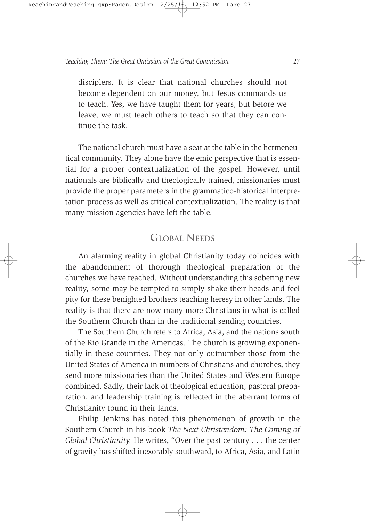disciplers. It is clear that national churches should not become dependent on our money, but Jesus commands us to teach. Yes, we have taught them for years, but before we leave, we must teach others to teach so that they can continue the task.

The national church must have a seat at the table in the hermeneutical community. They alone have the emic perspective that is essential for a proper contextualization of the gospel. However, until nationals are biblically and theologically trained, missionaries must provide the proper parameters in the grammatico-historical interpretation process as well as critical contextualization. The reality is that many mission agencies have left the table.

## **GLOBAL NEEDS**

An alarming reality in global Christianity today coincides with the abandonment of thorough theological preparation of the churches we have reached. Without understanding this sobering new reality, some may be tempted to simply shake their heads and feel pity for these benighted brothers teaching heresy in other lands. The reality is that there are now many more Christians in what is called the Southern Church than in the traditional sending countries.

The Southern Church refers to Africa, Asia, and the nations south of the Rio Grande in the Americas. The church is growing exponentially in these countries. They not only outnumber those from the United States of America in numbers of Christians and churches, they send more missionaries than the United States and Western Europe combined. Sadly, their lack of theological education, pastoral preparation, and leadership training is reflected in the aberrant forms of Christianity found in their lands.

Philip Jenkins has noted this phenomenon of growth in the Southern Church in his book *The Next Christendom: The Coming of Global Christianity.* He writes, "Over the past century . . . the center of gravity has shifted inexorably southward, to Africa, Asia, and Latin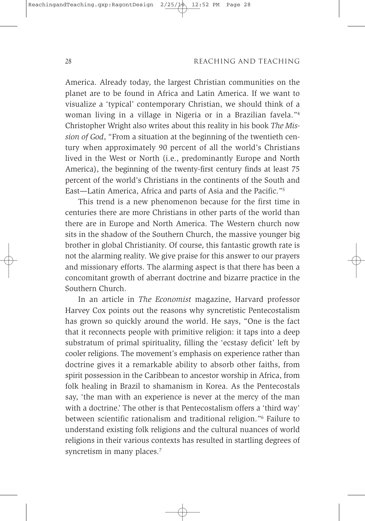America. Already today, the largest Christian communities on the planet are to be found in Africa and Latin America. If we want to visualize a 'typical' contemporary Christian, we should think of a woman living in a village in Nigeria or in a Brazilian favela."4 Christopher Wright also writes about this reality in his book *The Mission of God*, "From a situation at the beginning of the twentieth century when approximately 90 percent of all the world's Christians lived in the West or North (i.e., predominantly Europe and North America), the beginning of the twenty-first century finds at least 75 percent of the world's Christians in the continents of the South and East—Latin America, Africa and parts of Asia and the Pacific."5

This trend is a new phenomenon because for the first time in centuries there are more Christians in other parts of the world than there are in Europe and North America. The Western church now sits in the shadow of the Southern Church, the massive younger big brother in global Christianity. Of course, this fantastic growth rate is not the alarming reality. We give praise for this answer to our prayers and missionary efforts. The alarming aspect is that there has been a concomitant growth of aberrant doctrine and bizarre practice in the Southern Church.

In an article in *The Economist* magazine, Harvard professor Harvey Cox points out the reasons why syncretistic Pentecostalism has grown so quickly around the world. He says, "One is the fact that it reconnects people with primitive religion: it taps into a deep substratum of primal spirituality, filling the 'ecstasy deficit' left by cooler religions. The movement's emphasis on experience rather than doctrine gives it a remarkable ability to absorb other faiths, from spirit possession in the Caribbean to ancestor worship in Africa, from folk healing in Brazil to shamanism in Korea. As the Pentecostals say, 'the man with an experience is never at the mercy of the man with a doctrine.' The other is that Pentecostalism offers a 'third way' between scientific rationalism and traditional religion."6 Failure to understand existing folk religions and the cultural nuances of world religions in their various contexts has resulted in startling degrees of syncretism in many places.<sup>7</sup>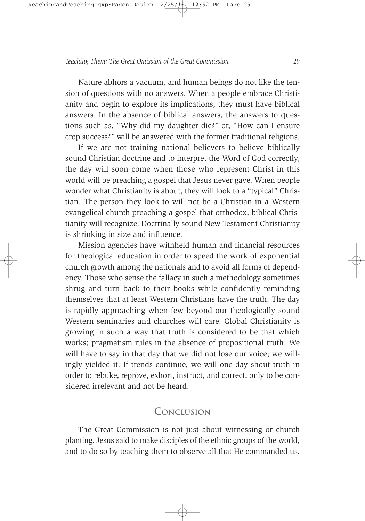### *Teaching Them: The Great Omission of the Great Commission* 29

Nature abhors a vacuum, and human beings do not like the tension of questions with no answers. When a people embrace Christianity and begin to explore its implications, they must have biblical answers. In the absence of biblical answers, the answers to questions such as, "Why did my daughter die?" or, "How can I ensure crop success?" will be answered with the former traditional religions.

If we are not training national believers to believe biblically sound Christian doctrine and to interpret the Word of God correctly, the day will soon come when those who represent Christ in this world will be preaching a gospel that Jesus never gave. When people wonder what Christianity is about, they will look to a "typical" Christian. The person they look to will not be a Christian in a Western evangelical church preaching a gospel that orthodox, biblical Christianity will recognize. Doctrinally sound New Testament Christianity is shrinking in size and influence.

Mission agencies have withheld human and financial resources for theological education in order to speed the work of exponential church growth among the nationals and to avoid all forms of dependency. Those who sense the fallacy in such a methodology sometimes shrug and turn back to their books while confidently reminding themselves that at least Western Christians have the truth. The day is rapidly approaching when few beyond our theologically sound Western seminaries and churches will care. Global Christianity is growing in such a way that truth is considered to be that which works; pragmatism rules in the absence of propositional truth. We will have to say in that day that we did not lose our voice; we willingly yielded it. If trends continue, we will one day shout truth in order to rebuke, reprove, exhort, instruct, and correct, only to be considered irrelevant and not be heard.

## **CONCLUSION**

The Great Commission is not just about witnessing or church planting. Jesus said to make disciples of the ethnic groups of the world, and to do so by teaching them to observe all that He commanded us.